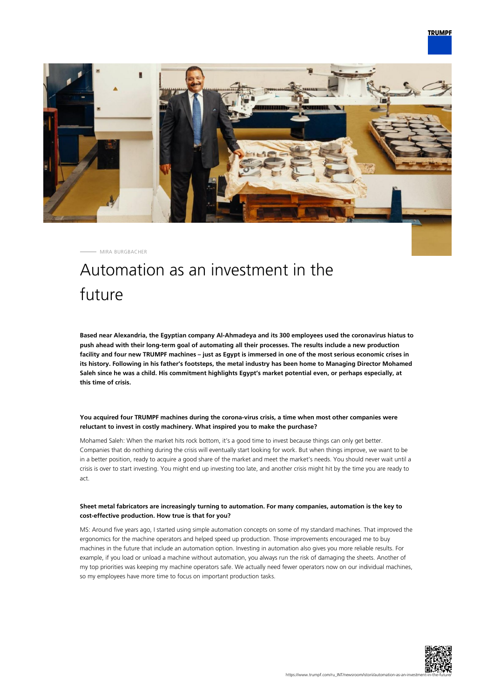

MIRA BURGBACHER

# Automation as an investment in the future

**Based near Alexandria, the Egyptian company Al-Ahmadeya and its 300 employees used the coronavirus hiatus to push ahead with their long-term goal of automating all their processes. The results include a new production facility and four new TRUMPF machines – just as Egypt is immersed in one of the most serious economic crises in its history. Following in his father's footsteps, the metal industry has been home to Managing Director Mohamed Saleh since he was a child. His commitment highlights Egypt's market potential even, or perhaps especially, at this time of crisis.**

## **You acquired four TRUMPF machines during the corona-virus crisis, a time when most other companies were reluctant to invest in costly machinery. What inspired you to make the purchase?**

Mohamed Saleh: When the market hits rock bottom, it's a good time to invest because things can only get better. Companies that do nothing during the crisis will eventually start looking for work. But when things improve, we want to be in a better position, ready to acquire a good share of the market and meet the market's needs. You should never wait until a crisis is over to start investing. You might end up investing too late, and another crisis might hit by the time you are ready to act.

## **Sheet metal fabricators are increasingly turning to automation. For many companies, automation is the key to cost-effective production. How true is that for you?**

MS: Around five years ago, I started using simple automation concepts on some of my standard machines. That improved the ergonomics for the machine operators and helped speed up production. Those improvements encouraged me to buy machines in the future that include an automation option. Investing in automation also gives you more reliable results. For example, if you load or unload a machine without automation, you always run the risk of damaging the sheets. Another of my top priorities was keeping my machine operators safe. We actually need fewer operators now on our individual machines, so my employees have more time to focus on important production tasks.

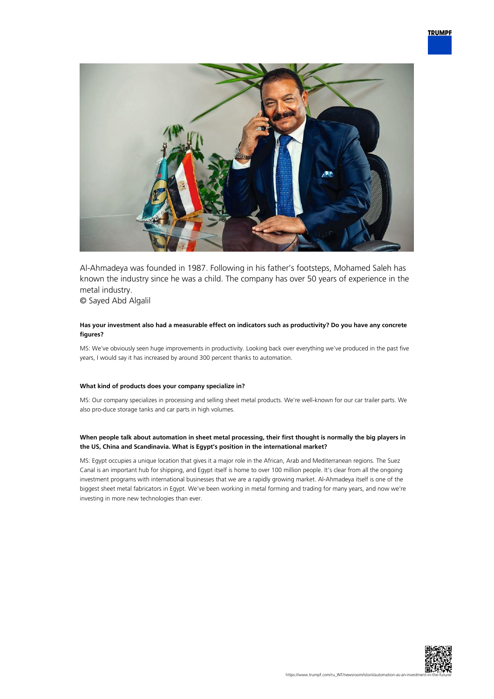

Al-Ahmadeya was founded in 1987. Following in his father's footsteps, Mohamed Saleh has known the industry since he was a child. The company has over 50 years of experience in the metal industry.

© Sayed Abd Algalil

## **Has your investment also had a measurable effect on indicators such as productivity? Do you have any concrete figures?**

MS: We've obviously seen huge improvements in productivity. Looking back over everything we've produced in the past five years, I would say it has increased by around 300 percent thanks to automation.

## **What kind of products does your company specialize in?**

MS: Our company specializes in processing and selling sheet metal products. We're well-known for our car trailer parts. We also pro-duce storage tanks and car parts in high volumes.

#### **When people talk about automation in sheet metal processing, their first thought is normally the big players in the US, China and Scandinavia. What is Egypt's position in the international market?**

MS: Egypt occupies a unique location that gives it a major role in the African, Arab and Mediterranean regions. The Suez Canal is an important hub for shipping, and Egypt itself is home to over 100 million people. It's clear from all the ongoing investment programs with international businesses that we are a rapidly growing market. Al-Ahmadeya itself is one of the biggest sheet metal fabricators in Egypt. We've been working in metal forming and trading for many years, and now we're investing in more new technologies than ever.